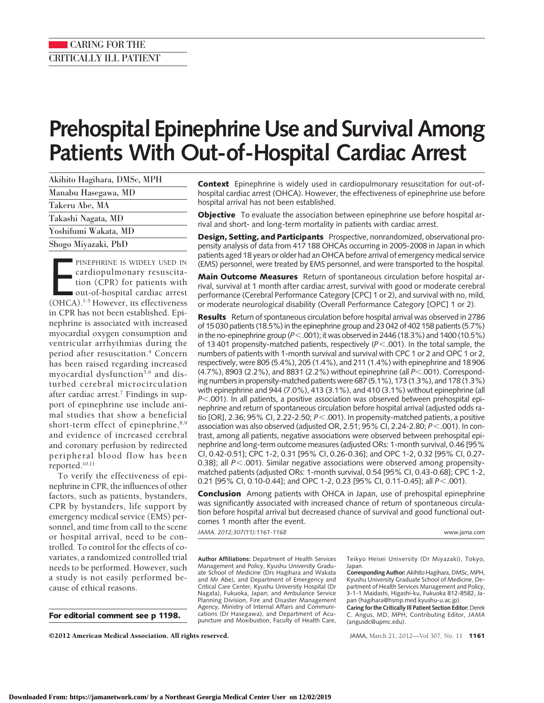## CARING FOR THE CRITICALLY ILL PATIENT

# **Prehospital Epinephrine Use and Survival Among Patients With Out-of-Hospital Cardiac Arrest**

| Akihito Hagihara, DMSc, MPH |  |
|-----------------------------|--|
| Manabu Hasegawa, MD         |  |
| Takeru Abe, MA              |  |
| Takashi Nagata, MD          |  |
| Yoshifumi Wakata, MD        |  |
| Shogo Miyazaki, PhD         |  |

PINEPHRINE IS WIDELY USED IN<br>
cardiopulmonary resuscita-<br>
tion (CPR) for patients with<br>
out-of-hospital cardiac arrest<br>
(OHCA).<sup>1-3</sup> However, its effectiveness PINEPHRINE IS WIDELY USED IN cardiopulmonary resuscitation (CPR) for patients with out-of-hospital cardiac arrest in CPR has not been established. Epinephrine is associated with increased myocardial oxygen consumption and ventricular arrhythmias during the period after resuscitation.<sup>4</sup> Concern has been raised regarding increased myocardial dysfunction<sup>5,6</sup> and disturbed cerebral microcirculation after cardiac arrest.7 Findings in support of epinephrine use include animal studies that show a beneficial short-term effect of epinephrine, 8,9 and evidence of increased cerebral and coronary perfusion by redirected peripheral blood flow has been reported.10,11

To verify the effectiveness of epinephrine in CPR, the influences of other factors, such as patients, bystanders, CPR by bystanders, life support by emergency medical service (EMS) personnel, and time from call to the scene or hospital arrival, need to be controlled. To control for the effects of covariates, a randomized controlled trial needs to be performed. However, such a study is not easily performed because of ethical reasons.

**For editorial comment see p 1198.**

**Context** Epinephrine is widely used in cardiopulmonary resuscitation for out-ofhospital cardiac arrest (OHCA). However, the effectiveness of epinephrine use before hospital arrival has not been established.

**Objective** To evaluate the association between epinephrine use before hospital arrival and short- and long-term mortality in patients with cardiac arrest.

**Design, Setting, and Participants** Prospective, nonrandomized, observational propensity analysis of data from 417 188 OHCAs occurring in 2005-2008 in Japan in which patients aged 18 years or older had an OHCA before arrival of emergency medical service (EMS) personnel, were treated by EMS personnel, and were transported to the hospital.

**Main Outcome Measures** Return of spontaneous circulation before hospital arrival, survival at 1 month after cardiac arrest, survival with good or moderate cerebral performance (Cerebral Performance Category [CPC] 1 or 2), and survival with no, mild, or moderate neurological disability (Overall Performance Category [OPC] 1 or 2).

**Results** Return of spontaneous circulation before hospital arrival was observed in 2786 of 15 030 patients (18.5%) in the epinephrine group and 23 042 of 402 158 patients (5.7%) in the no-epinephrine group (*P*-.001); it was observed in 2446 (18.3%) and 1400 (10.5%) of 13 401 propensity-matched patients, respectively (P<.001). In the total sample, the numbers of patients with 1-month survival and survival with CPC 1 or 2 and OPC 1 or 2, respectively, were 805 (5.4%), 205 (1.4%), and 211 (1.4%) with epinephrine and 18 906 (4.7%), 8903 (2.2%), and 8831 (2.2%) without epinephrine (all *P<*.001). Corresponding numbers in propensity-matched patients were 687 (5.1%), 173 (1.3%), and 178 (1.3%) with epinephrine and 944 (7.0%), 413 (3.1%), and 410 (3.1%) without epinephrine (all *P*-.001). In all patients, a positive association was observed between prehospital epinephrine and return of spontaneous circulation before hospital arrival (adjusted odds ratio [OR], 2.36; 95% CI, 2.22-2.50; *P*-.001). In propensity-matched patients, a positive association was also observed (adjusted OR, 2.51; 95% CI, 2.24-2.80; *P*-.001). In contrast, among all patients, negative associations were observed between prehospital epinephrine and long-term outcome measures (adjusted ORs: 1-month survival, 0.46 [95% CI, 0.42-0.51]; CPC 1-2, 0.31 [95% CI, 0.26-0.36]; and OPC 1-2, 0.32 [95% CI, 0.27- 0.38]; all P<.001). Similar negative associations were observed among propensitymatched patients (adjusted ORs: 1-month survival, 0.54 [95% CI, 0.43-0.68]; CPC 1-2, 0.21 [95% CI, 0.10-0.44]; and OPC 1-2, 0.23 [95% CI, 0.11-0.45]; all *P*<.001).

**Conclusion** Among patients with OHCA in Japan, use of prehospital epinephrine was significantly associated with increased chance of return of spontaneous circulation before hospital arrival but decreased chance of survival and good functional outcomes 1 month after the event.

*JAMA. 2012;307(11):1161-1168* www.jama.com

**Author Affiliations:** Department of Health Services Management and Policy, Kyushu University Graduate School of Medicine (Drs Hagihara and Wakata and Mr Abe), and Department of Emergency and Critical Care Center, Kyushu University Hospital (Dr Nagata), Fukuoka, Japan; and Ambulance Service Planning Division, Fire and Disaster Management Agency, Ministry of Internal Affairs and Communications (Dr Hasegawa), and Department of Acupuncture and Moxibustion, Faculty of Health Care,

Teikyo Heisei University (Dr Miyazaki), Tokyo, Japan. **Corresponding Author:**Akihito Hagihara, DMSc, MPH,

Kyushu University Graduate School of Medicine, Department of Health Services Management and Policy, 3-1-1 Maidashi, Higashi-ku, Fukuoka 812-8582, Japan (hagihara@hsmp.med.kyushu-u.ac.jp).

**Caring for the Critically Ill Patient Section Editor:** Derek C. Angus, MD, MPH, Contributing Editor, *JAMA* (angusdc@upmc.edu).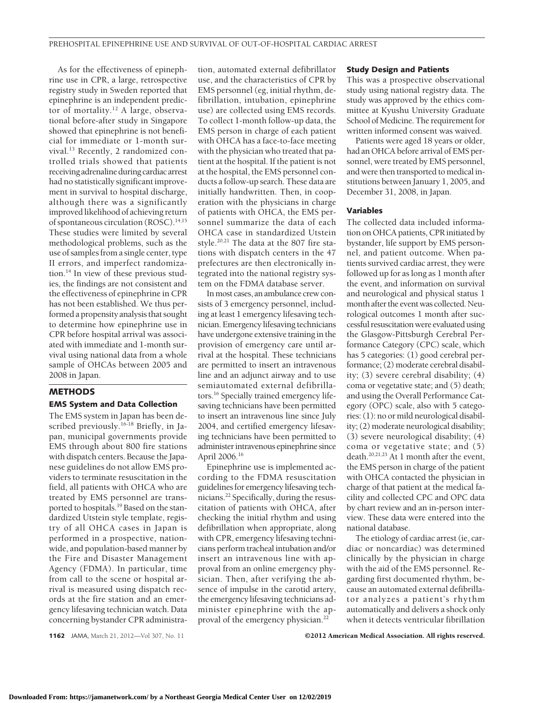As for the effectiveness of epinephrine use in CPR, a large, retrospective registry study in Sweden reported that epinephrine is an independent predictor of mortality.12 A large, observational before-after study in Singapore showed that epinephrine is not beneficial for immediate or 1-month survival.<sup>13</sup> Recently, 2 randomized controlled trials showed that patients receiving adrenaline during cardiac arrest had no statistically significant improvement in survival to hospital discharge, although there was a significantly improved likelihood of achieving return of spontaneous circulation (ROSC).<sup>14,15</sup> These studies were limited by several methodological problems, such as the use of samples from a single center, type II errors, and imperfect randomization.14 In view of these previous studies, the findings are not consistent and the effectiveness of epinephrine in CPR has not been established. We thus performed a propensity analysis that sought to determine how epinephrine use in CPR before hospital arrival was associated with immediate and 1-month survival using national data from a whole sample of OHCAs between 2005 and 2008 in Japan.

#### **METHODS**

## **EMS System and Data Collection**

The EMS system in Japan has been described previously.<sup>16-18</sup> Briefly, in Japan, municipal governments provide EMS through about 800 fire stations with dispatch centers. Because the Japanese guidelines do not allow EMS providers to terminate resuscitation in the field, all patients with OHCA who are treated by EMS personnel are transported to hospitals.<sup>19</sup> Based on the standardized Utstein style template, registry of all OHCA cases in Japan is performed in a prospective, nationwide, and population-based manner by the Fire and Disaster Management Agency (FDMA). In particular, time from call to the scene or hospital arrival is measured using dispatch records at the fire station and an emergency lifesaving technician watch. Data concerning bystander CPR administration, automated external defibrillator use, and the characteristics of CPR by EMS personnel (eg, initial rhythm, defibrillation, intubation, epinephrine use) are collected using EMS records. To collect 1-month follow-up data, the EMS person in charge of each patient with OHCA has a face-to-face meeting with the physician who treated that patient at the hospital. If the patient is not at the hospital, the EMS personnel conducts a follow-up search. These data are initially handwritten. Then, in cooperation with the physicians in charge of patients with OHCA, the EMS personnel summarize the data of each OHCA case in standardized Utstein style.20,21 The data at the 807 fire stations with dispatch centers in the 47 prefectures are then electronically integrated into the national registry system on the FDMA database server.

Inmost cases, an ambulance crew consists of 3 emergency personnel, including at least 1 emergency lifesaving technician. Emergency lifesaving technicians have undergone extensive training in the provision of emergency care until arrival at the hospital. These technicians are permitted to insert an intravenous line and an adjunct airway and to use semiautomated external defibrillators.16 Specially trained emergency lifesaving technicians have been permitted to insert an intravenous line since July 2004, and certified emergency lifesaving technicians have been permitted to administer intravenous epinephrine since April 2006.16

Epinephrine use is implemented according to the FDMA resuscitation guidelines for emergency lifesaving technicians.22 Specifically, during the resuscitation of patients with OHCA, after checking the initial rhythm and using defibrillation when appropriate, along with CPR, emergency lifesaving technicians perform tracheal intubation and/or insert an intravenous line with approval from an online emergency physician. Then, after verifying the absence of impulse in the carotid artery, the emergency lifesaving technicians administer epinephrine with the approval of the emergency physician.<sup>22</sup>

#### **Study Design and Patients**

This was a prospective observational study using national registry data. The study was approved by the ethics committee at Kyushu University Graduate School of Medicine. The requirement for written informed consent was waived.

Patients were aged 18 years or older, had an OHCA before arrival of EMS personnel, were treated by EMS personnel, and were then transported to medical institutions between January 1, 2005, and December 31, 2008, in Japan.

## **Variables**

The collected data included information on OHCA patients, CPR initiated by bystander, life support by EMS personnel, and patient outcome. When patients survived cardiac arrest, they were followed up for as long as 1 month after the event, and information on survival and neurological and physical status 1 month after the event was collected. Neurological outcomes 1 month after successful resuscitation were evaluated using the Glasgow-Pittsburgh Cerebral Performance Category (CPC) scale, which has 5 categories: (1) good cerebral performance; (2) moderate cerebral disability; (3) severe cerebral disability; (4) coma or vegetative state; and (5) death; and using the Overall Performance Category (OPC) scale, also with 5 categories: (1): no or mild neurological disability; (2) moderate neurological disability; (3) severe neurological disability; (4) coma or vegetative state; and (5) death.<sup>20,21,23</sup> At 1 month after the event, the EMS person in charge of the patient with OHCA contacted the physician in charge of that patient at the medical facility and collected CPC and OPC data by chart review and an in-person interview. These data were entered into the national database.

The etiology of cardiac arrest (ie, cardiac or noncardiac) was determined clinically by the physician in charge with the aid of the EMS personnel. Regarding first documented rhythm, because an automated external defibrillator analyzes a patient's rhythm automatically and delivers a shock only when it detects ventricular fibrillation

**1162** JAMA, March 21, 2012—Vol 307, No. 11 **Canadia Association. All rights reserved.**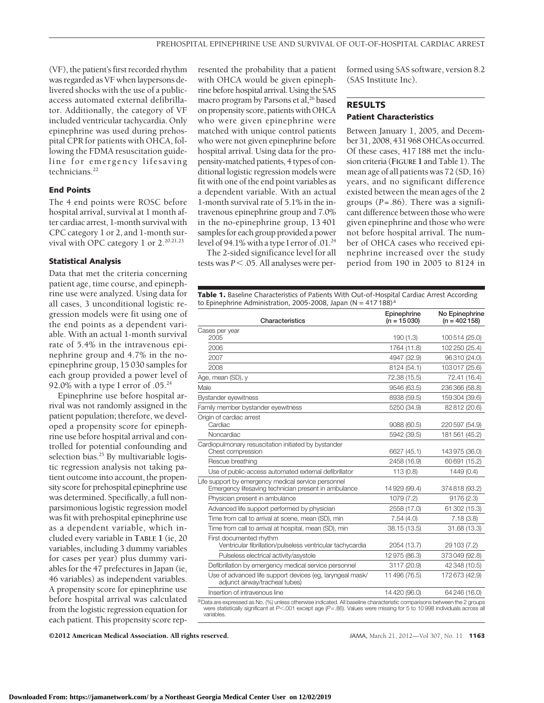(VF), the patient's first recorded rhythm was regarded as VF when laypersons delivered shocks with the use of a publicaccess automated external defibrillator. Additionally, the category of VF included ventricular tachycardia. Only epinephrine was used during prehospital CPR for patients with OHCA, following the FDMA resuscitation guideline for emergency lifesaving technicians.<sup>22</sup>

## **End Points**

The 4 end points were ROSC before hospital arrival, survival at 1 month after cardiac arrest, 1-month survival with CPC category 1 or 2, and 1-month survival with OPC category 1 or 2.<sup>20,21,23</sup>

#### **Statistical Analysis**

Data that met the criteria concerning patient age, time course, and epinephrine use were analyzed. Using data for all cases, 3 unconditional logistic regression models were fit using one of the end points as a dependent variable. With an actual 1-month survival rate of 5.4% in the intravenous epinephrine group and 4.7% in the noepinephrine group, 15 030 samples for each group provided a power level of 92.0% with a type I error of  $.05.^{24}$ 

Epinephrine use before hospital arrival was not randomly assigned in the patient population; therefore, we developed a propensity score for epinephrine use before hospital arrival and controlled for potential confounding and selection bias.<sup>25</sup> By multivariable logistic regression analysis not taking patient outcome into account, the propensity score for prehospital epinephrine use was determined. Specifically, a full nonparsimonious logistic regression model was fit with prehospital epinephrine use as a dependent variable, which included every variable in **TABLE 1** (ie, 20 variables, including 3 dummy variables for cases per year) plus dummy variables for the 47 prefectures in Japan (ie, 46 variables) as independent variables. A propensity score for epinephrine use before hospital arrival was calculated from the logistic regression equation for each patient. This propensity score represented the probability that a patient with OHCA would be given epinephrine before hospital arrival. Using the SAS macro program by Parsons et al,<sup>26</sup> based on propensity score, patients with OHCA who were given epinephrine were matched with unique control patients who were not given epinephrine before hospital arrival. Using data for the propensity-matched patients, 4 types of conditional logistic regression models were fit with one of the end point variables as a dependent variable. With an actual 1-month survival rate of 5.1% in the intravenous epinephrine group and 7.0% in the no-epinephrine group, 13 401 samples for each group provided a power level of 94.1% with a type I error of .01.24

The 2-sided significance level for all tests was  $P < 0.05$ . All analyses were performed using SAS software, version 8.2 (SAS Institute Inc).

## **RESULTS Patient Characteristics**

Between January 1, 2005, and December 31, 2008, 431 968 OHCAs occurred. Of these cases, 417 188 met the inclusion criteria (**FIGURE 1**and Table 1). The mean age of all patients was 72 (SD, 16) years, and no significant difference existed between the mean ages of the 2 groups (*P*=.86). There was a significant difference between those who were given epinephrine and those who were not before hospital arrival. The number of OHCA cases who received epinephrine increased over the study period from 190 in 2005 to 8124 in

**Table 1.** Baseline Characteristics of Patients With Out-of-Hospital Cardiac Arrest According to Epinephrine Administration, 2005-2008, Japan (N = 417 188)<sup>a</sup>

| Characteristics                                                                                                          | Epinephrine<br>$(n = 15030)$ | No Epinephrine<br>$(n = 402158)$ |
|--------------------------------------------------------------------------------------------------------------------------|------------------------------|----------------------------------|
| Cases per year                                                                                                           |                              |                                  |
| 2005                                                                                                                     | 190(1.3)                     | 100 514 (25.0)                   |
| 2006                                                                                                                     | 1764 (11.8)                  | 102 250 (25.4)                   |
| 2007                                                                                                                     | 4947 (32.9)                  | 96 310 (24.0)                    |
| 2008                                                                                                                     | 8124 (54.1)                  | 103017 (25.6)                    |
| Age, mean (SD), y                                                                                                        | 72.38 (15.5)                 | 72.41 (16.4)                     |
| Male                                                                                                                     | 9546 (63.5)                  | 236 366 (58.8)                   |
| <b>Bystander eyewitness</b>                                                                                              | 8938 (59.5)                  | 159 304 (39.6)                   |
| Family member bystander eyewitness                                                                                       | 5250 (34.9)                  | 82812 (20.6)                     |
| Origin of cardiac arrest<br>Cardiac                                                                                      | 9088 (60.5)                  | 220 597 (54.9)                   |
| Noncardiac                                                                                                               | 5942 (39.5)                  | 181 561 (45.2)                   |
| Cardiopulmonary resuscitation initiated by bystander<br>Chest compression                                                | 6627 (45.1)                  | 143 975 (36.0)                   |
| Rescue breathing                                                                                                         | 2458 (16.9)                  | 60 691 (15.2)                    |
| Use of public-access automated external defibrillator                                                                    | 113 (0.8)                    | 1449 (0.4)                       |
| Life support by emergency medical service personnel<br>Emergency lifesaving technician present in ambulance              | 14 929 (99.4)                | 374818 (93.2)                    |
| Physician present in ambulance                                                                                           | 1079 (7.2)                   | 9176 (2.3)                       |
| Advanced life support performed by physician                                                                             | 2558 (17.0)                  | 61 302 (15.3)                    |
| Time from call to arrival at scene, mean (SD), min                                                                       | 7.54(4.0)                    | 7.18(3.8)                        |
| Time from call to arrival at hospital, mean (SD), min                                                                    | 38.15 (13.5)                 | 31.68 (13.3)                     |
| First documented rhythm<br>Ventricular fibrillation/pulseless ventricular tachycardia                                    | 2054 (13.7)                  | 29 103 (7.2)                     |
| Pulseless electrical activity/asystole                                                                                   | 12975 (86.3)                 | 373049 (92.8)                    |
| Defibrillation by emergency medical service personnel                                                                    | 3117 (20.9)                  | 42 348 (10.5)                    |
| Use of advanced life support devices (eg, laryngeal mask/<br>adjunct airway/tracheal tubes)                              | 11 496 (76.5)                | 172 673 (42.9)                   |
| Insertion of intravenous line                                                                                            | 14 4 20 (96.0)               | 64 246 (16.0)                    |
| a Data are expressed as No. (%) unless otherwise indicated. All baseline characteristic comparisons between the 2 groups |                              |                                  |

a Data are expressed as No. (%) unless otherwise indicated. All baseline characteristic comparisons between the 2 groups<br>were statistically significant at P<.001 except age (P=.86). Values were missing for 5 to 10998 indiv variables.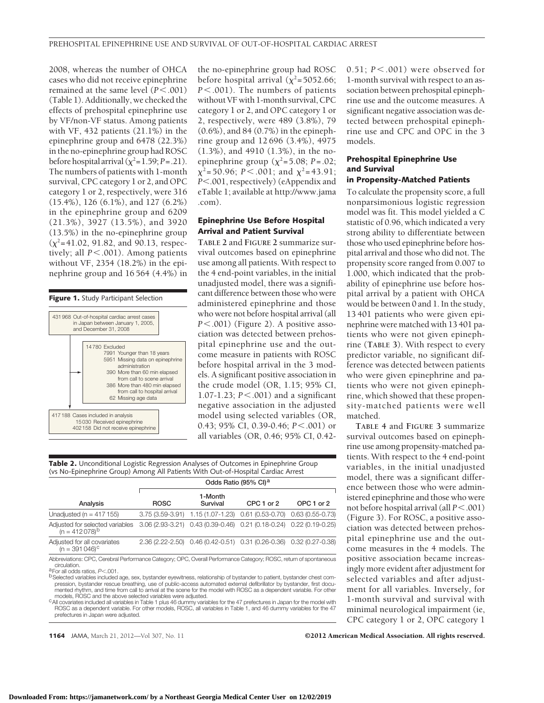2008, whereas the number of OHCA cases who did not receive epinephrine remained at the same level (*P*<.001) (Table 1). Additionally, we checked the effects of prehospital epinephrine use by VF/non-VF status. Among patients with VF, 432 patients (21.1%) in the epinephrine group and 6478 (22.3%) in the no-epinephrine group had ROSC before hospital arrival  $(\chi^2=1.59; P=.21)$ . The numbers of patients with 1-month survival, CPC category 1 or 2, and OPC category 1 or 2, respectively, were 316 (15.4%), 126 (6.1%), and 127 (6.2%) in the epinephrine group and 6209 (21.3%), 3927 (13.5%), and 3920 (13.5%) in the no-epinephrine group  $(\chi^2=41.02, 91.82,$  and 90.13, respectively; all  $P$ <.001). Among patients without VF, 2354 (18.2%) in the epinephrine group and 16 564 (4.4%) in



the no-epinephrine group had ROSC before hospital arrival  $(\chi^2=5052.66)$ ; *P*-.001). The numbers of patients without VF with 1-month survival, CPC category 1 or 2, and OPC category 1 or 2, respectively, were 489 (3.8%), 79 (0.6%), and 84 (0.7%) in the epinephrine group and 12 696 (3.4%), 4975 (1.3%), and 4910 (1.3%), in the noepinephrine group ( $\chi^2$ =5.08; *P* = .02;  $\chi^2$ =50.96; *P* < .001; and  $\chi^2$ =43.91; *P*-.001, respectively) (eAppendix and eTable 1; available at http://www.jama .com).

## **Epinephrine Use Before Hospital Arrival and Patient Survival**

**TABLE 2** and **FIGURE 2** summarize survival outcomes based on epinephrine use among all patients. With respect to the 4 end-point variables, in the initial unadjusted model, there was a significant difference between those who were administered epinephrine and those who were not before hospital arrival (all *P*-.001) (Figure 2). A positive association was detected between prehospital epinephrine use and the outcome measure in patients with ROSC before hospital arrival in the 3 models. A significant positive association in the crude model (OR, 1.15; 95% CI, 1.07-1.23; *P*-.001) and a significant negative association in the adjusted model using selected variables (OR, 0.43; 95% CI, 0.39-0.46; *P*<.001) or all variables (OR, 0.46; 95% CI, 0.42-

| Table 2. Unconditional Logistic Regression Analyses of Outcomes in Epinephrine Group |  |
|--------------------------------------------------------------------------------------|--|
| (vs No-Epinephrine Group) Among All Patients With Out-of-Hospital Cardiac Arrest     |  |

|                                                                                                                                  | Odds Ratio (95% CI) <sup>a</sup> |                                                                     |            |            |  |  |
|----------------------------------------------------------------------------------------------------------------------------------|----------------------------------|---------------------------------------------------------------------|------------|------------|--|--|
| Analysis                                                                                                                         | <b>ROSC</b>                      | 1-Month<br>Survival                                                 | CPC 1 or 2 | OPC 1 or 2 |  |  |
| Unadjusted ( $n = 417155$ )                                                                                                      |                                  | 3.75 (3.59-3.91) 1.15 (1.07-1.23) 0.61 (0.53-0.70) 0.63 (0.55-0.73) |            |            |  |  |
| Adjusted for selected variables 3.06 (2.93-3.21) 0.43 $(0.39-0.46)$ 0.21 (0.18-0.24) 0.22 (0.19-0.25) (n = 412 078) <sup>b</sup> |                                  |                                                                     |            |            |  |  |
| Adjusted for all covariates<br>$(n = 391046)^c$                                                                                  |                                  | 2.36 (2.22-2.50) 0.46 (0.42-0.51) 0.31 (0.26-0.36) 0.32 (0.27-0.38) |            |            |  |  |

Abbreviations: CPC, Cerebral Performance Category; OPC, Overall Performance Category; ROSC, return of spontaneous

a For all odds ratios, *P*<.001.

4For all odds ratios, P<.001.<br><sup>6</sup> Selected variables included age, sex, bystander eyewitness, relationship of bystander to patient, bystander chest com-<br>6 pression, bystander rescue breathing, use of public-access automate mented rhythm, and time from call to arrival at the scene for the model with ROSC as a dependent variable. For other models, ROSC and the above selected variables were adjusted.

<sup>c</sup> All covariates included all variables in Table 1 plus 46 dummy variables for the 47 prefectures in Japan for the model with ROSC as a dependent variable. For other models, ROSC, all variables in Table 1, and 46 dummy variables for the 47 prefectures in Japan were adjusted.

**1164** JAMA, March 21, 2012—Vol 307, No. 11 **Canadia American Medical Association. All rights reserved.** 

0.51; *P* - .001) were observed for 1-month survival with respect to an association between prehospital epinephrine use and the outcome measures. A significant negative association was detected between prehospital epinephrine use and CPC and OPC in the 3 models.

## **Prehospital Epinephrine Use and Survival**

## **in Propensity-Matched Patients**

To calculate the propensity score, a full nonparsimonious logistic regression model was fit. This model yielded a C statistic of 0.96, which indicated a very strong ability to differentiate between those who used epinephrine before hospital arrival and those who did not. The propensity score ranged from 0.007 to 1.000, which indicated that the probability of epinephrine use before hospital arrival by a patient with OHCA would be between 0 and 1. In the study, 13 401 patients who were given epinephrine were matched with 13 401 patients who were not given epinephrine (**TABLE 3**). With respect to every predictor variable, no significant difference was detected between patients who were given epinephrine and patients who were not given epinephrine, which showed that these propensity-matched patients were well matched.

**TABLE 4** and **FIGURE 3** summarize survival outcomes based on epinephrine use among propensity-matched patients. With respect to the 4 end-point variables, in the initial unadjusted model, there was a significant difference between those who were administered epinephrine and those who were not before hospital arrival (all  $P < .001$ ) (Figure 3). For ROSC, a positive association was detected between prehospital epinephrine use and the outcome measures in the 4 models. The positive association became increasingly more evident after adjustment for selected variables and after adjustment for all variables. Inversely, for 1-month survival and survival with minimal neurological impairment (ie, CPC category 1 or 2, OPC category 1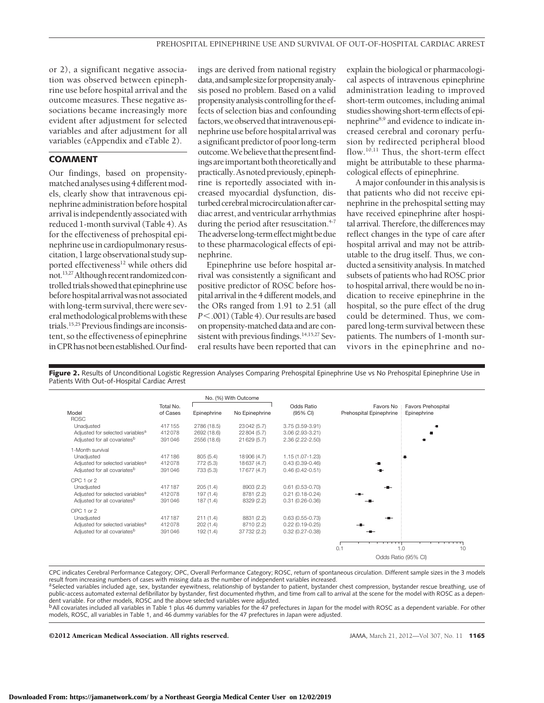or 2), a significant negative association was observed between epinephrine use before hospital arrival and the outcome measures. These negative associations became increasingly more evident after adjustment for selected variables and after adjustment for all variables (eAppendix and eTable 2).

## **COMMENT**

Our findings, based on propensitymatched analyses using 4 different models, clearly show that intravenous epinephrine administration before hospital arrival is independently associated with reduced 1-month survival (Table 4). As for the effectiveness of prehospital epinephrine use in cardiopulmonary resuscitation, 1large observational study supported effectiveness<sup>12</sup> while others did not.<sup>13,27</sup> Although recent randomized controlled trials showed that epinephrine use before hospital arrival was not associated withlong-term survival, there were severalmethodological problemswith these trials.<sup>15,25</sup> Previous findings are inconsistent, so the effectiveness of epinephrine inCPRhasnotbeenestablished.Ourfindings are derived from national registry data, and sample size for propensity analysis posed no problem. Based on a valid propensityanalysiscontrollingfor theeffects of selection bias and confounding factors, we observed that intravenous epinephrine use before hospital arrival was a significant predictor of poorlong-term outcome.Webelieve that thepresentfindings areimportant both theoretically and practically.Asnotedpreviously,epinephrine is reportedly associated with increased myocardial dysfunction, disturbed cerebral microcirculation after cardiac arrest, and ventricular arrhythmias during the period after resuscitation.<sup>4-7</sup> The adverse long-term effect might be due to these pharmacological effects of epinephrine.

Epinephrine use before hospital arrival was consistently a significant and positive predictor of ROSC before hospital arrival in the 4 different models, and the ORs ranged from 1.91 to 2.51 (all *P*-.001) (Table 4). Our results are based on propensity-matched data and are consistent with previous findings.<sup>14,15,27</sup> Several results have been reported that can

explain the biological or pharmacological aspects of intravenous epinephrine administration leading to improved short-term outcomes, including animal studies showing short-term effects of epinephrine8,9 and evidence to indicate increased cerebral and coronary perfusion by redirected peripheral blood flow.<sup>10,11</sup> Thus, the short-term effect might be attributable to these pharmacological effects of epinephrine.

A major confounder in this analysis is that patients who did not receive epinephrine in the prehospital setting may have received epinephrine after hospital arrival. Therefore, the differences may reflect changes in the type of care after hospital arrival and may not be attributable to the drug itself. Thus, we conducted a sensitivity analysis. In matched subsets of patients who had ROSC prior to hospital arrival, there would be no indication to receive epinephrine in the hospital, so the pure effect of the drug could be determined. Thus, we compared long-term survival between these patients. The numbers of 1-month survivors in the epinephrine and no-

Figure 2. Results of Unconditional Logistic Regression Analyses Comparing Prehospital Epinephrine Use vs No Prehospital Epinephrine Use in Patients With Out-of-Hospital Cardiac Arrest

|                                              |                       |             | No. (%) With Outcome |                        |                                      |                                   |
|----------------------------------------------|-----------------------|-------------|----------------------|------------------------|--------------------------------------|-----------------------------------|
| Model<br><b>ROSC</b>                         | Total No.<br>of Cases | Epinephrine | No Epinephrine       | Odds Ratio<br>(95% CI) | Favors No<br>Prehospital Epinephrine | Favors Prehospital<br>Epinephrine |
| Unadjusted                                   | 417155                | 2786 (18.5) | 23042 (5.7)          | $3.75(3.59-3.91)$      |                                      |                                   |
| Adjusted for selected variables <sup>a</sup> | 412078                | 2692 (18.6) | 22804 (5.7)          | 3.06 (2.93-3.21)       |                                      |                                   |
| Adjusted for all covariates <sup>b</sup>     | 391046                | 2556 (18.6) | 21 629 (5.7)         | 2.36 (2.22-2.50)       |                                      |                                   |
| 1-Month survival                             |                       |             |                      |                        |                                      |                                   |
| Unadjusted                                   | 417186                | 805 (5.4)   | 18906 (4.7)          | 1.15 (1.07-1.23)       |                                      |                                   |
| Adjusted for selected variables <sup>a</sup> | 412078                | 772 (5.3)   | 18637 (4.7)          | $0.43(0.39 - 0.46)$    |                                      |                                   |
| Adjusted for all covariates <sup>b</sup>     | 391046                | 733 (5.3)   | 17677 (4.7)          | $0.46(0.42 - 0.51)$    |                                      |                                   |
| CPC 1 or 2                                   |                       |             |                      |                        |                                      |                                   |
| Unadjusted                                   | 417187                | 205(1.4)    | 8903 (2.2)           | $0.61(0.53 - 0.70)$    |                                      |                                   |
| Adjusted for selected variables <sup>a</sup> | 412078                | 197 (1.4)   | 8781 (2.2)           | $0.21(0.18 - 0.24)$    |                                      |                                   |
| Adjusted for all covariates <sup>b</sup>     | 391046                | 187(1.4)    | 8329 (2.2)           | $0.31(0.26 - 0.36)$    |                                      |                                   |
| OPC 1 or 2                                   |                       |             |                      |                        |                                      |                                   |
| Unadjusted                                   | 417187                | 211(1.4)    | 8831 (2.2)           | $0.63(0.55 - 0.73)$    | $-$                                  |                                   |
| Adjusted for selected variables <sup>a</sup> | 412078                | 202(1.4)    | 8710 (2.2)           | $0.22(0.19 - 0.25)$    |                                      |                                   |
| Adjusted for all covariates <sup>b</sup>     | 391046                | 192 (1.4)   | 37732 (2.2)          | $0.32(0.27 - 0.38)$    |                                      |                                   |
|                                              |                       |             |                      |                        |                                      |                                   |
|                                              |                       |             |                      |                        | 0.1                                  | 1.0<br>10                         |
|                                              |                       |             |                      |                        |                                      | Odds Ratio (95% CI)               |

CPC indicates Cerebral Performance Category; OPC, Overall Performance Category; ROSC, return of spontaneous circulation. Different sample sizes in the 3 models result from increasing numbers of cases with missing data as the number of independent variables increased.

<sup>a</sup>Selected variables included age, sex, bystander eyewitness, relationship of bystander to patient, bystander chest compression, bystander rescue breathing, use of<br>public-access automated external defibrillator by bystand dent variable. For other models, ROSC and the above selected variables were adjusted.<br><sup>b</sup>All covariates included all variables in Table 1 plus 46 dummy variables for the 47 prefectures in Japan for the model with ROSC as a

models, ROSC, all variables in Table 1, and 46 dummy variables for the 47 prefectures in Japan were adjusted.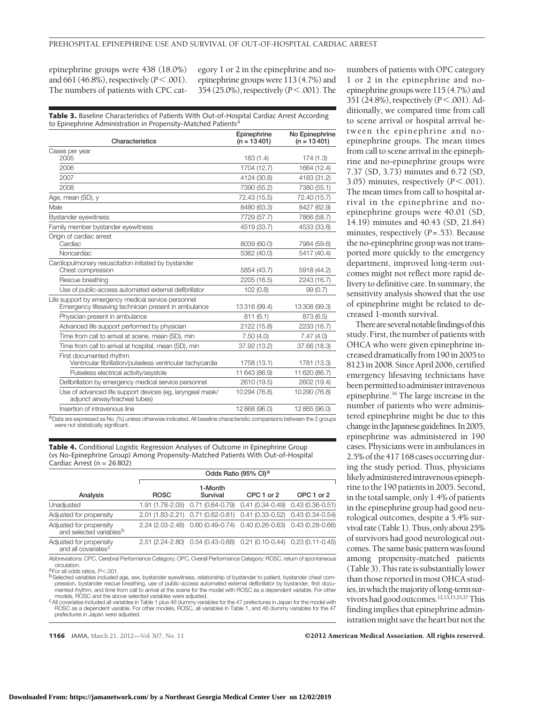epinephrine groups were 438 (18.0%) and 661 (46.8%), respectively (*P*-.001). The numbers of patients with CPC category 1 or 2 in the epinephrine and noepinephrine groups were 113 (4.7%) and 354 (25.0%), respectively (*P*-.001). The

**Table 3.** Baseline Characteristics of Patients With Out-of-Hospital Cardiac Arrest According to Epinephrine Administration in Propensity-Matched Patients<sup>a</sup>

| Characteristics                                                                                             | Epinephrine<br>$(n = 13401)$ | No Epinephrine<br>$(n = 13401)$ |
|-------------------------------------------------------------------------------------------------------------|------------------------------|---------------------------------|
| Cases per year                                                                                              |                              |                                 |
| 2005                                                                                                        | 183 (1.4)                    | 174 (1.3)                       |
| 2006                                                                                                        | 1704 (12.7)                  | 1664 (12.4)                     |
| 2007                                                                                                        | 4124 (30.8)                  | 4183 (31.2)                     |
| 2008                                                                                                        | 7390 (55.2)                  | 7380 (55.1)                     |
| Age, mean (SD), y                                                                                           | 72.43 (15.5)                 | 72.40 (15.7)                    |
| Male                                                                                                        | 8480 (63.3)                  | 8427 (62.9)                     |
| <b>Bystander eyewitness</b>                                                                                 | 7729 (57.7)                  | 7866 (58.7)                     |
| Family member bystander eyewitness                                                                          | 4519 (33.7)                  | 4533 (33.8)                     |
| Origin of cardiac arrest<br>Cardiac                                                                         | 8039 (60.0)                  | 7984 (59.6)                     |
| <b>Noncardiac</b>                                                                                           | 5362 (40.0)                  | 5417 (40.4)                     |
| Cardiopulmonary resuscitation initiated by bystander<br>Chest compression                                   | 5854 (43.7)                  | 5918 (44.2)                     |
| Rescue breathing                                                                                            | 2205 (16.5)                  | 2243 (16.7)                     |
| Use of public-access automated external defibrillator                                                       | 102(0.8)                     | 99(0.7)                         |
| Life support by emergency medical service personnel<br>Emergency lifesaving technician present in ambulance | 13316 (99.4)                 | 13308 (99.3)                    |
| Physician present in ambulance                                                                              | 811(6.1)                     | 873 (6.5)                       |
| Advanced life support performed by physician                                                                | 2122 (15.8)                  | 2233 (16.7)                     |
| Time from call to arrival at scene, mean (SD), min                                                          | 7.50(4.0)                    | 7.47(4.0)                       |
| Time from call to arrival at hospital, mean (SD), min                                                       | 37.92 (13.2)                 | 37.66 (18.3)                    |
| First documented rhythm<br>Ventricular fibrillation/pulseless ventricular tachycardia                       | 1758 (13.1)                  | 1781 (13.3)                     |
| Pulseless electrical activity/asystole                                                                      | 11 643 (86.9)                | 11 620 (86.7)                   |
| Defibrillation by emergency medical service personnel                                                       | 2610 (19.5)                  | 2602 (19.4)                     |
| Use of advanced life support devices (eq. laryngeal mask/<br>adjunct airway/tracheal tubes)                 | 10294 (76.8)                 | 10290 (76.8)                    |
| Insertion of intravenous line                                                                               | 12868 (96.0)                 | 12865 (96.0)                    |

a Data are expressed as No. (%) unless otherwise indicated. All baseline characteristic comparisons between the 2 groups were not statistically significant.

**Table 4.** Conditional Logistic Regression Analyses of Outcome in Epinephrine Group (vs No-Epinephrine Group) Among Propensity-Matched Patients With Out-of-Hospital Cardiac Arrest (n = 26 802)

|                                                                | Odds Ratio (95% CI) <sup>a</sup> |                                                                     |            |            |  |  |
|----------------------------------------------------------------|----------------------------------|---------------------------------------------------------------------|------------|------------|--|--|
| Analysis                                                       | <b>ROSC</b>                      | 1-Month<br>Survival                                                 | CPC 1 or 2 | OPC 1 or 2 |  |  |
| Unadjusted                                                     |                                  | 1.91 (1.78-2.05) 0.71 (0.64-0.79) 0.41 (0.34-0.49) 0.43 (0.36-0.51) |            |            |  |  |
| Adjusted for propensity                                        |                                  | 2.01 (1.83-2.21) 0.71 (0.62-0.81) 0.41 (0.33-0.52) 0.43 (0.34-0.54) |            |            |  |  |
| Adjusted for propensity<br>and selected variables <sup>b</sup> |                                  | 2.24 (2.03-2.48) 0.60 (0.49-0.74) 0.40 (0.26-0.63) 0.43 (0.28-0.66) |            |            |  |  |
| Adjusted for propensity<br>and all covariates <sup>c</sup>     |                                  | 2.51 (2.24-2.80) 0.54 (0.43-0.68) 0.21 (0.10-0.44) 0.23 (0.11-0.45) |            |            |  |  |

Abbreviations: CPC, Cerebral Performance Category; OPC, Overall Performance Category; ROSC, return of spontaneous

a For all odds ratios, *P*<.001.

4For all odds ratios, P<.001.<br><sup>6</sup> Selected variables included age, sex, bystander eyewitness, relationship of bystander to patient, bystander chest com-<br>6 pression, bystander rescue breathing, use of public-access automate mented rhythm, and time from call to arrival at the scene for the model with ROSC as a dependent variable. For other models, ROSC and the above selected variables were adjusted.

<sup>c</sup> All covariates included all variables in Table 1 plus 46 dummy variables for the 47 prefectures in Japan for the model with ROSC as a dependent variable. For other models, ROSC, all variables in Table 1, and 46 dummy variables for the 47 prefectures in Japan were adjusted.

**1166** JAMA, March 21, 2012—Vol 307, No. 11 **COLL 2012 American Medical Association. All rights reserved.** 

numbers of patients with OPC category 1 or 2 in the epinephrine and noepinephrine groups were 115 (4.7%) and 351 (24.8%), respectively ( $P < .001$ ). Additionally, we compared time from call to scene arrival or hospital arrival between the epinephrine and noepinephrine groups. The mean times from call to scene arrival in the epinephrine and no-epinephrine groups were 7.37 (SD, 3.73) minutes and 6.72 (SD, 3.05) minutes, respectively  $(P < .001)$ . The mean times from call to hospital arrival in the epinephrine and noepinephrine groups were 40.01 (SD, 14.19) minutes and 40.43 (SD, 21.84) minutes, respectively (*P*=.53). Because the no-epinephrine group was not transported more quickly to the emergency department, improved long-term outcomes might not reflect more rapid delivery to definitive care. In summary, the sensitivity analysis showed that the use of epinephrine might be related to decreased 1-month survival.

There are several notable findings of this study. First, the number of patients with OHCA who were given epinephrine increased dramatically from 190 in 2005 to 8123in 2008. SinceApril 2006, certified emergency lifesaving technicians have been permitted to administer intravenous epinephrine.16 The large increase in the number of patients who were administered epinephrine might be due to this change in the Japanese guidelines. In 2005, epinephrine was administered in 190 cases. Physicians were in ambulances in 2.5% of the 417 168 cases occurring during the study period. Thus, physicians likelyadministeredintravenousepinephrine to the 190 patientsin 2005. Second, in the total sample, only 1.4% of patients in the epinephrine group had good neurological outcomes, despite a 5.4% survival rate (Table 1). Thus, only about 25% of survivors had good neurological outcomes.The same basic patternwasfound among propensity-matched patients  $(Table 3)$ . This rate is substantially lower than those reported in most OHCA studies,inwhich themajorityoflong-termsurvivors had good outcomes.<sup>12,13,15,25,27</sup> This findingimplies that epinephrine administration might save the heart but not the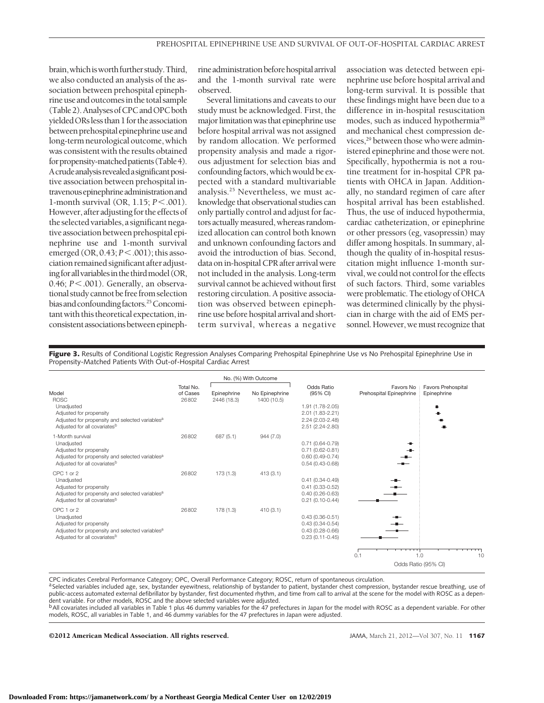brain, which is worth further study. Third, we also conducted an analysis of the association between prehospital epinephrine use and outcomes in the total sample (Table2).AnalysesofCPCandOPCboth yielded ORs less than 1 for the association between prehospital epinephrine use and long-term neurological outcome, which was consistent with the results obtained for propensity-matched patients (Table 4). Acrudeanalysisrevealedasignificantpositive association between prehospital intravenousepinephrineadministrationand 1-month survival (OR, 1.15;  $P$ <.001). However, after adjusting for the effects of the selected variables, a significant negative association between prehospital epinephrine use and 1-month survival emerged (OR, 0.43;  $P < .001$ ); this association remained significant after adjusting for all variables in the third model (OR, 0.46; *P*-.001). Generally, an observational study cannot be free from selection bias and confounding factors.<sup>25</sup> Concomitantwith this theoretical expectation,inconsistent associations between epinephrine administration before hospital arrival and the 1-month survival rate were observed.

Several limitations and caveats to our study must be acknowledged. First, the major limitation was that epinephrine use before hospital arrival was not assigned by random allocation. We performed propensity analysis and made a rigorous adjustment for selection bias and confounding factors, which would be expected with a standard multivariable analysis.25 Nevertheless, we must acknowledge that observational studies can only partially control and adjust for factors actuallymeasured, whereas randomized allocation can control both known and unknown confounding factors and avoid the introduction of bias. Second, data on in-hospital CPR after arrival were not included in the analysis. Long-term survival cannot be achieved without first restoring circulation. A positive association was observed between epinephrine use before hospital arrival and shortterm survival, whereas a negative

association was detected between epinephrine use before hospital arrival and long-term survival. It is possible that these findings might have been due to a difference in in-hospital resuscitation modes, such as induced hypothermia<sup>28</sup> and mechanical chest compression devices,<sup>29</sup> between those who were administered epinephrine and those were not. Specifically, hypothermia is not a routine treatment for in-hospital CPR patients with OHCA in Japan. Additionally, no standard regimen of care after hospital arrival has been established. Thus, the use of induced hypothermia, cardiac catheterization, or epinephrine or other pressors (eg, vasopressin) may differ among hospitals. In summary, although the quality of in-hospital resuscitation might influence 1-month survival, we could not control for the effects of such factors. Third, some variables were problematic. The etiology of OHCA was determined clinically by the physician in charge with the aid of EMS personnel. However, wemust recognize that

**Figure 3.** Results of Conditional Logistic Regression Analyses Comparing Prehospital Epinephrine Use vs No Prehospital Epinephrine Use in Propensity-Matched Patients With Out-of-Hospital Cardiac Arrest

|                                                                                                                                                                          |                                |                            | No. (%) With Outcome          |                                                                                                        |                                      |                                               |
|--------------------------------------------------------------------------------------------------------------------------------------------------------------------------|--------------------------------|----------------------------|-------------------------------|--------------------------------------------------------------------------------------------------------|--------------------------------------|-----------------------------------------------|
| Model<br><b>ROSC</b><br>Unadjusted<br>Adjusted for propensity<br>Adjusted for propensity and selected variables <sup>a</sup><br>Adjusted for all covariates <sup>b</sup> | Total No.<br>of Cases<br>26802 | Epinephrine<br>2446 (18.3) | No Epinephrine<br>1400 (10.5) | Odds Ratio<br>(95% CI)<br>1.91 (1.78-2.05)<br>2.01 (1.83-2.21)<br>2.24 (2.03-2.48)<br>2.51 (2.24-2.80) | Favors No<br>Prehospital Epinephrine | <b>Favors Prehospital</b><br>Epinephrine<br>٠ |
| 1-Month survival<br>Unadjusted<br>Adjusted for propensity<br>Adjusted for propensity and selected variables <sup>a</sup><br>Adjusted for all covariates <sup>b</sup>     | 26802                          | 687 (5.1)                  | 944 (7.0)                     | $0.71(0.64 - 0.79)$<br>$0.71(0.62 - 0.81)$<br>$0.60(0.49 - 0.74)$<br>$0.54(0.43 - 0.68)$               | $\blacksquare$                       |                                               |
| CPC 1 or 2<br>Unadjusted<br>Adjusted for propensity<br>Adjusted for propensity and selected variables <sup>a</sup><br>Adjusted for all covariates <sup>b</sup>           | 26802                          | 173 (1.3)                  | 413(3.1)                      | $0.41(0.34 - 0.49)$<br>$0.41(0.33 - 0.52)$<br>$0.40(0.26 - 0.63)$<br>$0.21(0.10-0.44)$                 |                                      |                                               |
| OPC 1 or 2<br>Unadjusted<br>Adjusted for propensity<br>Adjusted for propensity and selected variables <sup>a</sup><br>Adjusted for all covariates <sup>b</sup>           | 26802                          | 178 (1.3)                  | 410(3.1)                      | $0.43(0.36 - 0.51)$<br>$0.43(0.34 - 0.54)$<br>$0.43(0.28 - 0.66)$<br>$0.23(0.11-0.45)$                 |                                      |                                               |
|                                                                                                                                                                          |                                |                            |                               |                                                                                                        | 0.1                                  | 1.0<br>10<br>Odds Ratio (95% CI)              |

CPC indicates Cerebral Performance Category; OPC, Overall Performance Category; ROSC, return of spontaneous circulation.

a Selected variables included age, sex, bystander eyewitness, relationship of bystander to patient, bystander chest compression, bystander rescue breathing, use of<br>public-access automated external defibrillator by bystande dent variable. For other models, ROSC and the above selected variables were adjusted.<br><sup>b</sup>All covariates included all variables in Table 1 plus 46 dummy variables for the 47 prefectures in Japan for the model with ROSC as a

models, ROSC, all variables in Table 1, and 46 dummy variables for the 47 prefectures in Japan were adjusted.